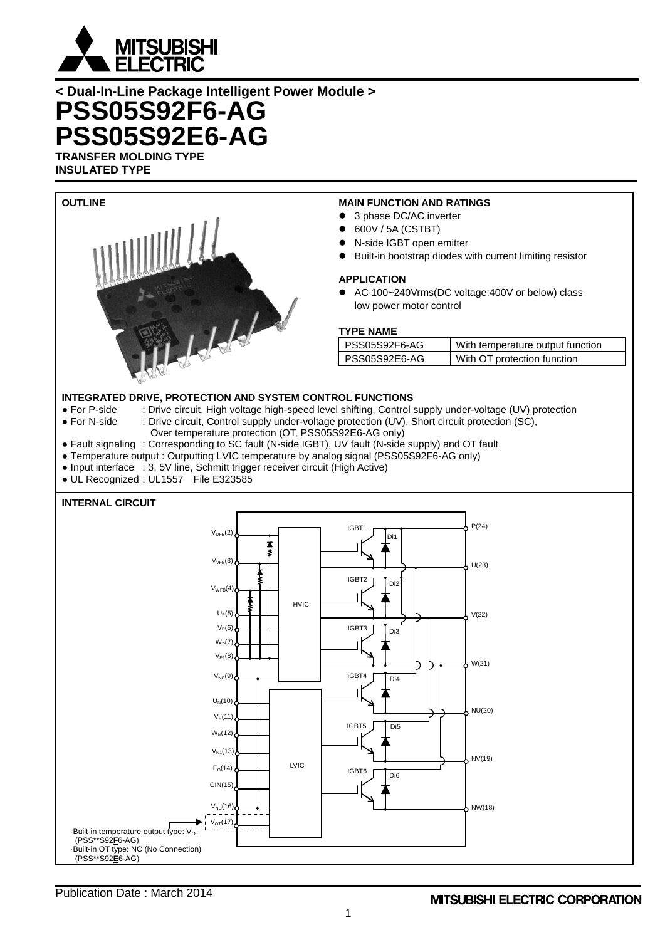

**INSULATED TYPE**



- 3 phase DC/AC inverter
- 600V / 5A (CSTBT)
- N-side IGBT open emitter
- Built-in bootstrap diodes with current limiting resistor

#### **APPLICATION**

٦

● AC 100~240Vrms(DC voltage:400V or below) class low power motor control

#### **TYPE NAME**

| PSS05S92F6-AG | With temperature output function |
|---------------|----------------------------------|
| PSS05S92E6-AG | With OT protection function      |

# **INTEGRATED DRIVE, PROTECTION AND SYSTEM CONTROL FUNCTIONS**<br>• For P-side : Drive circuit, High voltage high-speed level shifting, Control

- For P-side : Drive circuit, High voltage high-speed level shifting, Control supply under-voltage (UV) protection<br>• For N-side : Drive circuit, Control supply under-voltage protection (UV), Short circuit protection (SC),
	- : Drive circuit, Control supply under-voltage protection (UV), Short circuit protection (SC),
		- Over temperature protection (OT, PSS05S92E6-AG only)
- Fault signaling : Corresponding to SC fault (N-side IGBT), UV fault (N-side supply) and OT fault
- Temperature output : Outputting LVIC temperature by analog signal (PSS05S92F6-AG only)
- Input interface : 3, 5V line, Schmitt trigger receiver circuit (High Active)
- UL Recognized : UL1557 File E323585

#### **INTERNAL CIRCUIT**



Publication Date : March 2014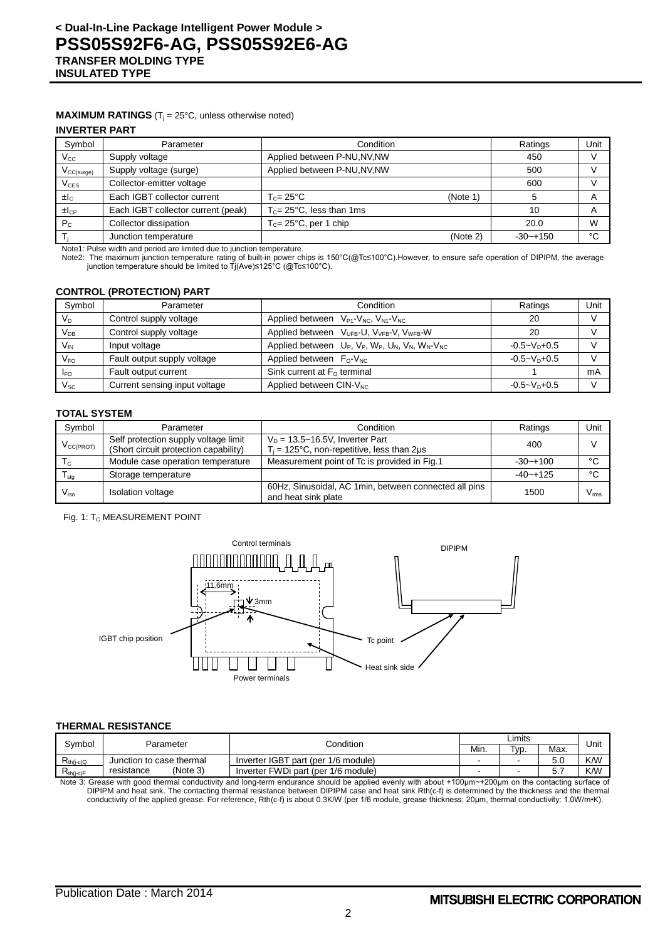#### **MAXIMUM RATINGS** ( $T_j = 25^\circ C$ , unless otherwise noted)

#### **INVERTER PART**

| Symbol               | Parameter                                              | Condition                           |          | Ratings      | Unit                    |
|----------------------|--------------------------------------------------------|-------------------------------------|----------|--------------|-------------------------|
| $V_{\rm CC}$         | Supply voltage                                         | Applied between P-NU, NV, NW        |          | 450          |                         |
| $V_{CC(surge)}$      | Applied between P-NU, NV, NW<br>Supply voltage (surge) |                                     | 500      |              |                         |
| $V_{CES}$            | Collector-emitter voltage                              |                                     |          | 600          |                         |
| ±lc                  | Each IGBT collector current                            | $T_c = 25^{\circ}$ C<br>(Note 1)    |          |              | A                       |
| $\pm$ <sub>ICP</sub> | Each IGBT collector current (peak)                     | $T_c = 25^{\circ}$ C, less than 1ms |          | 10           | $\overline{\mathsf{A}}$ |
| $P_{C}$              | Collector dissipation                                  | $T_c = 25^{\circ}$ C, per 1 chip    |          | 20.0         | W                       |
|                      | Junction temperature                                   |                                     | (Note 2) | $-30 - +150$ | °C                      |

Note1: Pulse width and period are limited due to junction temperature.

Note2: The maximum junction temperature rating of built-in power chips is 150°C(@Tc≤100°C).However, to ensure safe operation of DIPIPM, the average junction temperature should be limited to Tj(Ave)≤125°C (@Tc≤100°C).

#### **CONTROL (PROTECTION) PART**

| Symbol          | Parameter                     | Condition                                                                     | Ratings                     | Unit |
|-----------------|-------------------------------|-------------------------------------------------------------------------------|-----------------------------|------|
| $V_D$           | Control supply voltage        | Applied between $V_{P1}$ - $V_{NC}$ , $V_{N1}$ - $V_{NC}$                     | 20                          |      |
| $V_{DB}$        | Control supply voltage        | Applied between V <sub>UFB</sub> -U, V <sub>VFB</sub> -V, V <sub>WFB</sub> -W | 20                          |      |
| $V_{\text{IN}}$ | Input voltage                 | Applied between $U_P$ , $V_P$ , $W_P$ , $U_N$ , $V_N$ , $W_N$ - $V_{NC}$      | $-0.5 - V_{\text{D}} + 0.5$ |      |
| $V_{FO}$        | Fault output supply voltage   | Applied between $F_0-V_{NC}$                                                  | $-0.5 - VD+0.5$             |      |
| $I_{FO}$        | Fault output current          | Sink current at $F0$ terminal                                                 |                             | mA   |
| $V_\mathrm{SC}$ | Current sensing input voltage | Applied between CIN-V <sub>NC</sub>                                           | $-0.5 - V_D + 0.5$          |      |

#### **TOTAL SYSTEM**

| Symbol                      | Parameter                                                                     | Condition                                                                            | Ratings      | Unit          |
|-----------------------------|-------------------------------------------------------------------------------|--------------------------------------------------------------------------------------|--------------|---------------|
| V <sub>CC(PROT)</sub>       | Self protection supply voltage limit<br>(Short circuit protection capability) | $V_D = 13.5 - 16.5V$ , Inverter Part<br>$T_i$ = 125°C, non-repetitive, less than 2µs | 400          |               |
| $T_{\rm C}$                 | Module case operation temperature                                             | Measurement point of Tc is provided in Fig.1                                         | $-30 - +100$ | $\sim$        |
| $\mathsf{T}_{\mathsf{stg}}$ | Storage temperature                                                           |                                                                                      | $-40 - +125$ | $\sim$        |
| $V_{\rm iso}$               | <b>Isolation voltage</b>                                                      | 60Hz, Sinusoidal, AC 1 min, between connected all pins<br>and heat sink plate        | 1500         | $V_{\rm rms}$ |

#### Fig. 1: T<sub>c</sub> MEASUREMENT POINT



#### **THERMAL RESISTANCE**

| Svmbol<br>Parameter                                                |                          | Condition                           | ∟imits |                   |         | Unit |
|--------------------------------------------------------------------|--------------------------|-------------------------------------|--------|-------------------|---------|------|
|                                                                    |                          |                                     |        | T <sub>VD</sub> . | Max.    |      |
| $\mathsf{K}_{\mathsf{th}(\mathsf{j}\text{-}\mathsf{c})\mathsf{Q}}$ | Junction to case thermal | Inverter IGBT part (per 1/6 module) |        | -                 | 5.0     | K/W  |
| $R_{th(i-c)F}$                                                     | (Note 3)<br>resistance   | Inverter FWDi part (per 1/6 module) |        | -                 | ∽<br>U. | K/W  |

Note 3: Grease with good thermal conductivity and long-term endurance should be applied evenly with about +100µm~+200µm on the contacting surface of<br>DIPIPM and heat sink. The contacting thermal resistance between DIPIPM c conductivity of the applied grease. For reference, Rth(c-f) is about 0.3K/W (per 1/6 module, grease thickness: 20μm, thermal conductivity: 1.0W/m•K).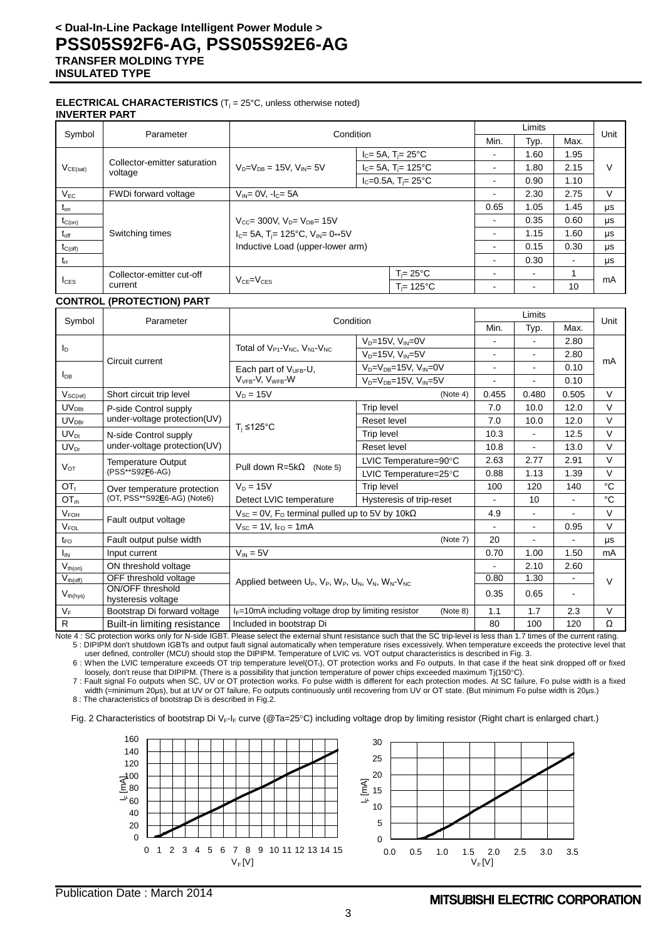#### **ELECTRICAL CHARACTERISTICS** (T<sub>j</sub> = 25°C, unless otherwise noted) **INVERTER PART**

| Symbol           | Parameter                                  |                                                              | Condition          |                                                 |        | Limits |                | Unit |
|------------------|--------------------------------------------|--------------------------------------------------------------|--------------------|-------------------------------------------------|--------|--------|----------------|------|
|                  |                                            |                                                              |                    |                                                 | Min.   | Typ.   | Max.           |      |
|                  |                                            |                                                              |                    | $I_c = 5A$ , T <sub>i</sub> = 25 <sup>°</sup> C | ۰      | 1.60   | 1.95           |      |
| $V_{CE(sat)}$    | Collector-emitter saturation<br>voltage    | $V_{D} = V_{DB} = 15V$ , $V_{ID} = 5V$                       |                    | $I_C = 5A$ , $T_i = 125^{\circ}C$               | ۰      | 1.80   | 2.15           | V    |
|                  |                                            |                                                              |                    | $I_c = 0.5A$ , T <sub>i</sub> = 25°C            | ۰      | 0.90   | 1.10           |      |
| $V_{EC}$         | FWDi forward voltage                       | $V_{IN} = 0V$ , $I_C = 5A$                                   |                    | ۰                                               | 2.30   | 2.75   | V              |      |
| $t_{\text{on}}$  |                                            |                                                              |                    |                                                 | 0.65   | 1.05   | 1.45           | μs   |
| $t_{C(on)}$      |                                            | $V_{CC}$ 300V, $V_{D}$ = $V_{DB}$ = 15V                      |                    |                                                 | $\sim$ | 0.35   | 0.60           | μs   |
| $t_{\text{off}}$ | Switching times                            | $I_C = 5A$ , T <sub>i</sub> = 125°C, V <sub>IN</sub> = 0↔ 5V |                    |                                                 | ۰      | 1.15   | 1.60           | μs   |
| $t_{C(off)}$     |                                            | Inductive Load (upper-lower arm)                             |                    | ۰.                                              | 0.15   | 0.30   | μs             |      |
| $t_{rr}$         |                                            |                                                              |                    |                                                 | $\sim$ | 0.30   | $\blacksquare$ | μs   |
|                  | Collector-emitter cut-off                  |                                                              |                    | $T_i = 25^{\circ}C$                             | ۰      |        |                | mA   |
|                  | $V_{CE} = V_{CES}$<br>$I_{CES}$<br>current |                                                              | $T = 125^{\circ}C$ |                                                 |        | 10     |                |      |

#### **CONTROL (PROTECTION) PART**

|                  |                                        | Condition                                                                    |                                      |                          | Limits         |                | Unit   |
|------------------|----------------------------------------|------------------------------------------------------------------------------|--------------------------------------|--------------------------|----------------|----------------|--------|
| Symbol           | Parameter                              |                                                                              |                                      | Min.                     | Typ.           | Max.           |        |
|                  |                                        |                                                                              | $V_D = 15V$ , $V_{IN} = 0V$          | $\overline{\phantom{a}}$ | $\blacksquare$ | 2.80           |        |
| $I_{\text{D}}$   | Circuit current                        | Total of V <sub>P1</sub> -V <sub>NC</sub> , V <sub>N1</sub> -V <sub>NC</sub> | $V_D = 15V$ , $V_{IN} = 5V$          | $\blacksquare$           | $\overline{a}$ | 2.80           | mA     |
|                  |                                        | Each part of V <sub>UFB</sub> -U,                                            | $V_D = V_{DB} = 15V$ , $V_{IN} = 0V$ | $\blacksquare$           |                | 0.10           |        |
| $I_{DB}$         |                                        | $V_{VFR}$ -V, $V_{WFR}$ -W                                                   | $V_D = V_{DB} = 15V$ , $V_{IN} = 5V$ |                          |                | 0.10           |        |
| $V_{SC(ref)}$    | Short circuit trip level               | $V_D = 15V$                                                                  | 0.455<br>(Note 4)                    |                          | 0.480          | 0.505          | $\vee$ |
| $UV_{DBt}$       | P-side Control supply                  |                                                                              | <b>Trip level</b>                    | 7.0                      | 10.0           | 12.0           | $\vee$ |
| $UV_{DBr}$       | under-voltage protection(UV)           | $T_i \leq 125$ °C                                                            | Reset level                          | 7.0                      | 10.0           | 12.0           | $\vee$ |
| $UV_{Dt}$        | N-side Control supply                  |                                                                              | <b>Trip level</b>                    | 10.3                     | $\overline{a}$ | 12.5           | $\vee$ |
| $UV_{Dr}$        | under-voltage protection(UV)           |                                                                              | Reset level                          | 10.8                     | $\blacksquare$ | 13.0           | $\vee$ |
|                  | Temperature Output<br>(PSS**S92F6-AG)  | Pull down $R = 5k\Omega$<br>(Note 5)                                         | LVIC Temperature=90°C                | 2.63                     | 2.77           | 2.91           | $\vee$ |
| $V_{\text{OT}}$  |                                        |                                                                              | LVIC Temperature=25°C                | 0.88                     | 1.13           | 1.39           | $\vee$ |
| OT <sub>t</sub>  | Over temperature protection            | $V_D = 15V$                                                                  | <b>Trip level</b>                    | 100                      | 120            | 140            | °C     |
| OT <sub>rh</sub> | (OT, PSS**S92E6-AG) (Note6)            | Detect LVIC temperature                                                      | Hysteresis of trip-reset             | $\blacksquare$           | 10             | $\blacksquare$ | °C     |
| $V_{FOH}$        | Fault output voltage                   | $V_{SC}$ = 0V, F <sub>o</sub> terminal pulled up to 5V by 10k $\Omega$       |                                      | 4.9                      |                | ä,             | $\vee$ |
| $V_{FOL}$        |                                        | $V_{SC} = 1V$ , $I_{FO} = 1mA$                                               |                                      |                          | $\blacksquare$ | 0.95           | $\vee$ |
| $t_{\text{FO}}$  | Fault output pulse width               |                                                                              | (Note 7)                             | 20                       |                |                | μs     |
| I <sub>IN</sub>  | Input current                          | $V_{IN} = 5V$                                                                |                                      |                          | 1.00           | 1.50           | mA     |
| $V_{th(on)}$     | ON threshold voltage                   |                                                                              |                                      |                          | 2.10           | 2.60           |        |
| $V_{th (off)}$   | OFF threshold voltage                  | Applied between $U_P$ , $V_P$ , $W_P$ , $U_N$ , $V_N$ , $W_N$ - $V_{NC}$     |                                      | 0.80                     | 1.30           |                | $\vee$ |
| $V_{th(hys)}$    | ON/OFF threshold<br>hysteresis voltage |                                                                              |                                      | 0.35                     | 0.65           | $\blacksquare$ |        |
| $V_F$            | Bootstrap Di forward voltage           | $I_F$ =10mA including voltage drop by limiting resistor                      | (Note 8)                             | 1.1                      | 1.7            | 2.3            | $\vee$ |
| $\mathsf{R}$     | Built-in limiting resistance           | Included in bootstrap Di                                                     |                                      | 80                       | 100            | 120            | Ω      |

Note 4 : SC protection works only for N-side IGBT. Please select the external shunt resistance such that the SC trip-level is less than 1.7 times of the current rating. 5 : DIPIPM don't shutdown IGBTs and output fault signal automatically when temperature rises excessively. When temperature exceeds the protective level that

user defined, controller (MCU) should stop the DIPIPM. Temperature of LVIC vs. VOT output characteristics is described in Fig. 3. 6 : When the LVIC temperature exceeds OT trip temperature level(OTt), OT protection works and Fo outputs. In that case if the heat sink dropped off or fixed

loosely, don't reuse that DIPIPM. (There is a possibility that junction temperature of power chips exceeded maximum Tj(150°C).

7 : Fault signal Fo outputs when SC, UV or OT protection works. Fo pulse width is different for each protection modes. At SC failure, Fo pulse width is a fixed width (=minimum 20μs), but at UV or OT failure, Fo outputs continuously until recovering from UV or OT state. (But minimum Fo pulse width is 20μs.) 8 : The characteristics of bootstrap Di is described in Fig.2.

Fig. 2 Characteristics of bootstrap Di V<sub>F-IF</sub> curve (@Ta=25°C) including voltage drop by limiting resistor (Right chart is enlarged chart.)

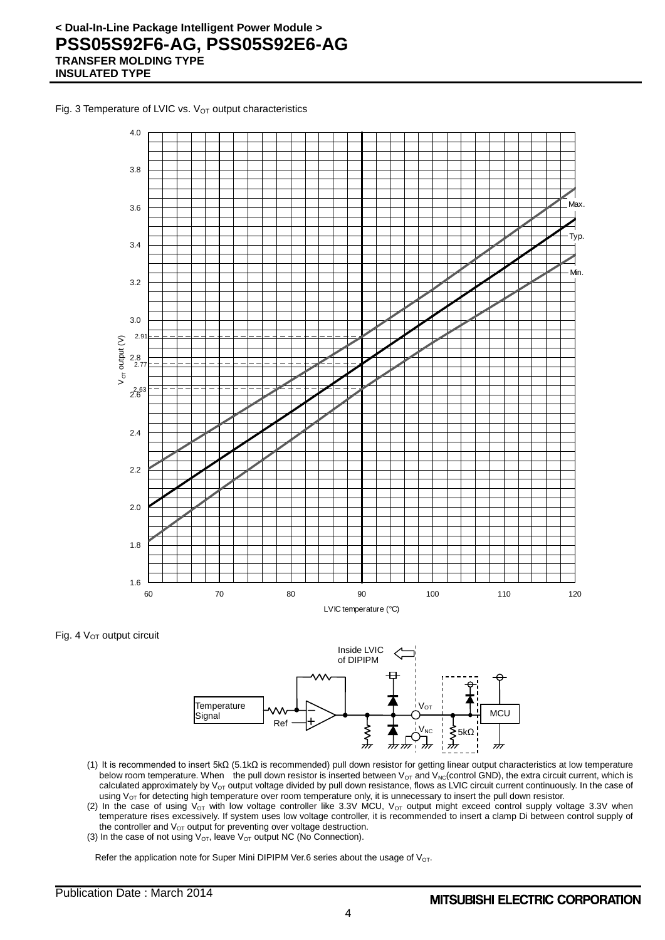Fig. 3 Temperature of LVIC vs.  $V<sub>OT</sub>$  output characteristics



Fig. 4 V<sub>OT</sub> output circuit



- (1) It is recommended to insert 5kΩ (5.1kΩ is recommended) pull down resistor for getting linear output characteristics at low temperature below room temperature. When the pull down resistor is inserted between  $V_{OT}$  and  $V_{NC}$ (control GND), the extra circuit current, which is calculated approximately by  $V<sub>OT</sub>$  output voltage divided by pull down resistance, flows as LVIC circuit current continuously. In the case of using  $V_{OT}$  for detecting high temperature over room temperature only, it is unnecessary to insert the pull down resistor.
- (2) In the case of using  $V_{OT}$  with low voltage controller like 3.3V MCU,  $V_{OT}$  output might exceed control supply voltage 3.3V when temperature rises excessively. If system uses low voltage controller, it is recommended to insert a clamp Di between control supply of the controller and  $V_{OT}$  output for preventing over voltage destruction.
- (3) In the case of not using  $V_{OT}$ , leave  $V_{OT}$  output NC (No Connection).

Refer the application note for Super Mini DIPIPM Ver.6 series about the usage of V<sub>OT</sub>.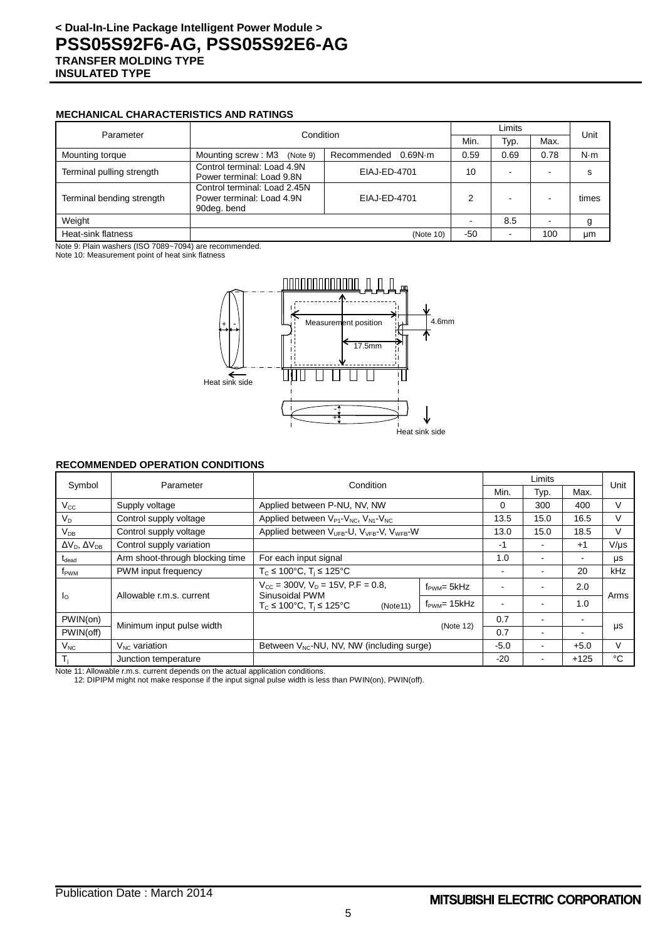#### **MECHANICAL CHARACTERISTICS AND RATINGS**

| Parameter                 | Condition                                                                |                        |      | Limits                   |      |             |
|---------------------------|--------------------------------------------------------------------------|------------------------|------|--------------------------|------|-------------|
|                           |                                                                          | Min.                   | Typ. | Max.                     | Unit |             |
| Mounting torque           | Mounting screw: M3<br>(Note 9)                                           | 0.69N·m<br>Recommended |      | 0.69                     | 0.78 | $N \cdot m$ |
| Terminal pulling strength | Control terminal: Load 4.9N<br>Power terminal: Load 9.8N                 | EIAJ-ED-4701           | 10   | -                        |      | s           |
| Terminal bending strength | Control terminal: Load 2.45N<br>Power terminal: Load 4.9N<br>90deg. bend | EIAJ-ED-4701           | っ    | $\overline{\phantom{0}}$ |      | times       |
| Weight                    |                                                                          |                        |      | 8.5                      |      | g           |
| Heat-sink flatness        | 100<br>-50<br>(Note 10)                                                  |                        |      | μm                       |      |             |

Note 9: Plain washers (ISO 7089~7094) are recommended.

Note 10: Measurement point of heat sink flatness



#### **RECOMMENDED OPERATION CONDITIONS**

| Symbol                         | Parameter                       | Condition                                                                                |                         |       | Limits |        | Unit      |
|--------------------------------|---------------------------------|------------------------------------------------------------------------------------------|-------------------------|-------|--------|--------|-----------|
|                                |                                 |                                                                                          |                         | Min.  | Typ.   | Max.   |           |
| $V_{\rm CC}$                   | Supply voltage                  | Applied between P-NU, NV, NW                                                             |                         | 0     | 300    | 400    | V         |
| $V_D$                          | Control supply voltage          | Applied between $V_{P1}$ - $V_{NC}$ , $V_{N1}$ - $V_{NC}$                                |                         | 13.5  | 15.0   | 16.5   | v         |
| $V_{DB}$                       | Control supply voltage          | Applied between V <sub>UFB</sub> -U, V <sub>VFB</sub> -V, V <sub>WFB</sub> -W            |                         | 13.0  | 15.0   | 18.5   | V         |
| $\Delta V_D$ , $\Delta V_{DB}$ | Control supply variation        |                                                                                          |                         | -1    |        | $+1$   | $V/\mu s$ |
| $t_{\text{dead}}$              | Arm shoot-through blocking time | For each input signal                                                                    |                         |       |        |        | μs        |
| f <sub>PWM</sub>               | PWM input frequency             | $T_c \le 100^{\circ}$ C, $T_i \le 125^{\circ}$ C                                         |                         | ۰     |        | 20     | kHz       |
| I <sub>0</sub>                 | Allowable r.m.s. current        | $V_{CC}$ = 300V, $V_D$ = 15V, P.F = 0.8,<br>Sinusoidal PWM                               | $f_{\text{PWM}} = 5kHz$ |       |        | 2.0    | Arms      |
|                                |                                 | $f_{\text{PWM}} = 15kHz$<br>$T_c \le 100^{\circ}$ C, $T_i \le 125^{\circ}$ C<br>(Note11) |                         |       |        | 1.0    |           |
| PWIN(on)                       | Minimum input pulse width       |                                                                                          |                         | 0.7   |        |        |           |
| PWIN(off)                      |                                 | (Note 12)                                                                                |                         | 0.7   |        |        | μs        |
| $V_{NC}$                       | $V_{NC}$ variation              | Between V <sub>NC</sub> -NU, NV, NW (including surge)                                    | $-5.0$                  |       | $+5.0$ | v      |           |
| $T_i$                          | Junction temperature            |                                                                                          |                         | $-20$ |        | $+125$ | °C        |

Note 11: Allowable r.m.s. current depends on the actual application conditions.

12: DIPIPM might not make response if the input signal pulse width is less than PWIN(on), PWIN(off).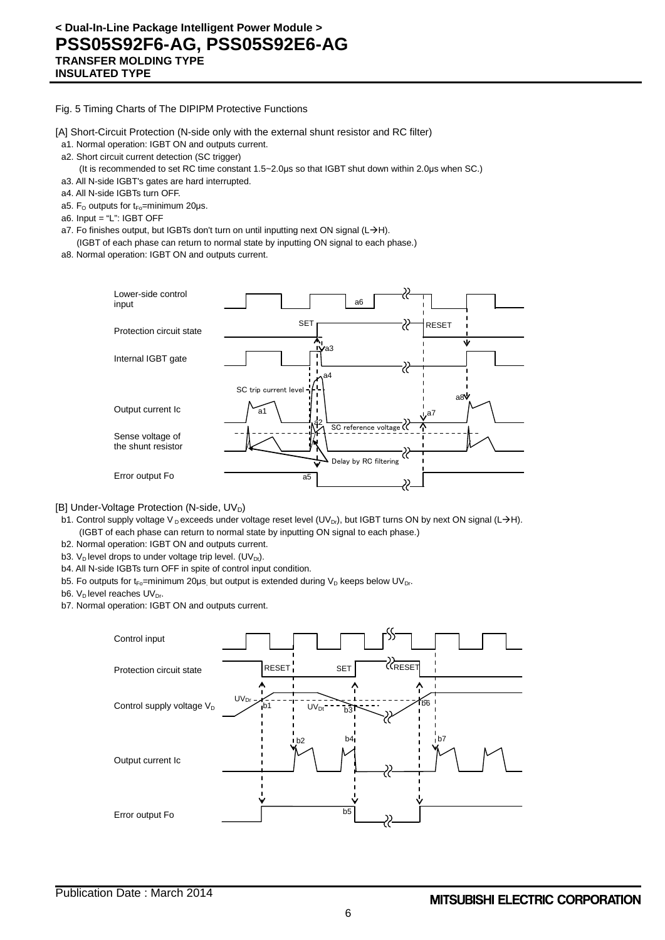Fig. 5 Timing Charts of The DIPIPM Protective Functions

[A] Short-Circuit Protection (N-side only with the external shunt resistor and RC filter)

- a1. Normal operation: IGBT ON and outputs current.
- a2. Short circuit current detection (SC trigger)
	- (It is recommended to set RC time constant 1.5~2.0μs so that IGBT shut down within 2.0μs when SC.)
- a3. All N-side IGBT's gates are hard interrupted.
- a4. All N-side IGBTs turn OFF.
- a5.  $F_{\text{O}}$  outputs for t<sub>Fo</sub>=minimum 20µs.
- a6. Input = "L": IGBT OFF
- a7. Fo finishes output, but IGBTs don't turn on until inputting next ON signal (L $\rightarrow$ H).
- (IGBT of each phase can return to normal state by inputting ON signal to each phase.) a8. Normal operation: IGBT ON and outputs current.



[B] Under-Voltage Protection (N-side, UV<sub>D</sub>)

- b1. Control supply voltage V D exceeds under voltage reset level (UV<sub>Dr</sub>), but IGBT turns ON by next ON signal (L $\rightarrow$ H). (IGBT of each phase can return to normal state by inputting ON signal to each phase.)
- b2. Normal operation: IGBT ON and outputs current.
- b3. V<sub>D</sub> level drops to under voltage trip level. (UV<sub>Dt</sub>).
- b4. All N-side IGBTs turn OFF in spite of control input condition.
- b5. Fo outputs for t<sub>Fo</sub>=minimum 20µs, but output is extended during  $V_D$  keeps below UV<sub>Dr</sub>.
- b6.  $V_D$  level reaches  $UV_{Dr}$ .
- b7. Normal operation: IGBT ON and outputs current.

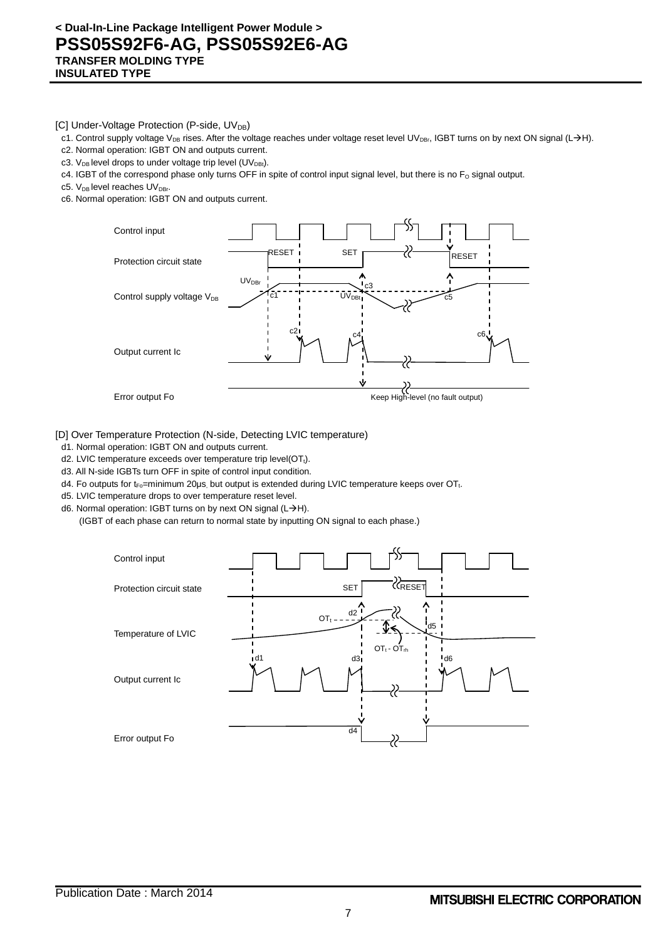[C] Under-Voltage Protection (P-side,  $UV_{DB}$ )

- c1. Control supply voltage V<sub>DB</sub> rises. After the voltage reaches under voltage reset level UV<sub>DBr</sub>, IGBT turns on by next ON signal (L->H).
- c2. Normal operation: IGBT ON and outputs current.
- c3.  $V_{DB}$  level drops to under voltage trip level (UV<sub>DBt</sub>).
- c4. IGBT of the correspond phase only turns OFF in spite of control input signal level, but there is no  $F_0$  signal output.
- c5.  $V_{DB}$  level reaches  $UV_{DBr}$ .
- c6. Normal operation: IGBT ON and outputs current.



#### [D] Over Temperature Protection (N-side, Detecting LVIC temperature)

- d1. Normal operation: IGBT ON and outputs current.
- d2. LVIC temperature exceeds over temperature trip level( $OT<sub>t</sub>$ ).
- d3. All N-side IGBTs turn OFF in spite of control input condition.
- d4. Fo outputs for t<sub>Fo</sub>=minimum 20μs, but output is extended during LVIC temperature keeps over OT<sub>t</sub>.
- d5. LVIC temperature drops to over temperature reset level.
- d6. Normal operation: IGBT turns on by next ON signal ( $L\rightarrow H$ ).
	- (IGBT of each phase can return to normal state by inputting ON signal to each phase.)

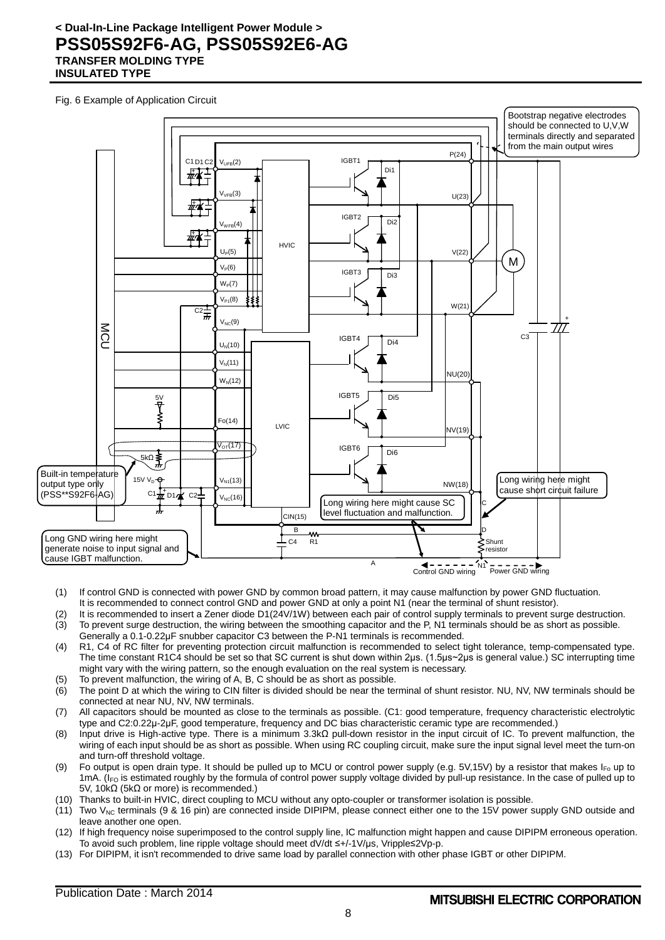Fig. 6 Example of Application Circuit



- (1) If control GND is connected with power GND by common broad pattern, it may cause malfunction by power GND fluctuation. It is recommended to connect control GND and power GND at only a point N1 (near the terminal of shunt resistor).
- (2) It is recommended to insert a Zener diode D1(24V/1W) between each pair of control supply terminals to prevent surge destruction. (3) To prevent surge destruction, the wiring between the smoothing capacitor and the P, N1 terminals should be as short as possible. Generally a 0.1-0.22μF snubber capacitor C3 between the P-N1 terminals is recommended.
- (4) R1, C4 of RC filter for preventing protection circuit malfunction is recommended to select tight tolerance, temp-compensated type. The time constant R1C4 should be set so that SC current is shut down within 2μs. (1.5μs~2μs is general value.) SC interrupting time might vary with the wiring pattern, so the enough evaluation on the real system is necessary.
- (5) To prevent malfunction, the wiring of A, B, C should be as short as possible.
- (6) The point D at which the wiring to CIN filter is divided should be near the terminal of shunt resistor. NU, NV, NW terminals should be connected at near NU, NV, NW terminals.
- (7) All capacitors should be mounted as close to the terminals as possible. (C1: good temperature, frequency characteristic electrolytic type and C2:0.22μ-2μF, good temperature, frequency and DC bias characteristic ceramic type are recommended.)
- (8) Input drive is High-active type. There is a minimum 3.3kΩ pull-down resistor in the input circuit of IC. To prevent malfunction, the wiring of each input should be as short as possible. When using RC coupling circuit, make sure the input signal level meet the turn-on and turn-off threshold voltage.
- (9) Fo output is open drain type. It should be pulled up to MCU or control power supply (e.g. 5V,15V) by a resistor that makes  $I_{F0}$  up to 1mA. ( $I_{FO}$  is estimated roughly by the formula of control power supply voltage divided by pull-up resistance. In the case of pulled up to 5V, 10kΩ (5kΩ or more) is recommended.)
- (10) Thanks to built-in HVIC, direct coupling to MCU without any opto-coupler or transformer isolation is possible.
- $(11)$  Two V<sub>NC</sub> terminals (9 & 16 pin) are connected inside DIPIPM, please connect either one to the 15V power supply GND outside and leave another one open.
- (12) If high frequency noise superimposed to the control supply line, IC malfunction might happen and cause DIPIPM erroneous operation. To avoid such problem, line ripple voltage should meet dV/dt ≤+/-1V/μs, Vripple≤2Vp-p.
- (13) For DIPIPM, it isn't recommended to drive same load by parallel connection with other phase IGBT or other DIPIPM.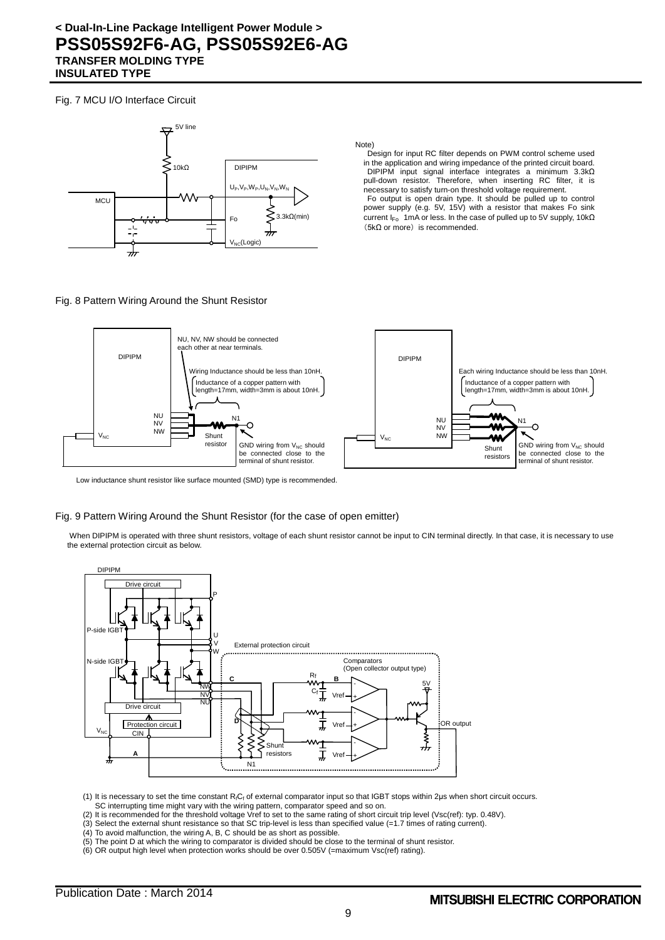Fig. 7 MCU I/O Interface Circuit



Note)

Design for input RC filter depends on PWM control scheme used in the application and wiring impedance of the printed circuit board. DIPIPM input signal interface integrates a minimum 3.3kΩ pull-down resistor. Therefore, when inserting RC filter, it is necessary to satisfy turn-on threshold voltage requirement.

Fo output is open drain type. It should be pulled up to control power supply (e.g. 5V, 15V) with a resistor that makes Fo sink current I<sub>Fo</sub> 1mA or less. In the case of pulled up to 5V supply, 10kΩ  $(5k\Omega$  or more) is recommended.

#### Fig. 8 Pattern Wiring Around the Shunt Resistor



Low inductance shunt resistor like surface mounted (SMD) type is recommended.

#### Fig. 9 Pattern Wiring Around the Shunt Resistor (for the case of open emitter)

When DIPIPM is operated with three shunt resistors, voltage of each shunt resistor cannot be input to CIN terminal directly. In that case, it is necessary to use the external protection circuit as below.



(1) It is necessary to set the time constant R<sub>fCf</sub> of external comparator input so that IGBT stops within 2μs when short circuit occurs. SC interrupting time might vary with the wiring pattern, comparator speed and so on.

- (2) It is recommended for the threshold voltage Vref to set to the same rating of short circuit trip level (Vsc(ref): typ. 0.48V).
- (3) Select the external shunt resistance so that SC trip-level is less than specified value (=1.7 times of rating current).
- (4) To avoid malfunction, the wiring A, B, C should be as short as possible.
- (5) The point D at which the wiring to comparator is divided should be close to the terminal of shunt resistor.
- (6) OR output high level when protection works should be over 0.505V (=maximum Vsc(ref) rating).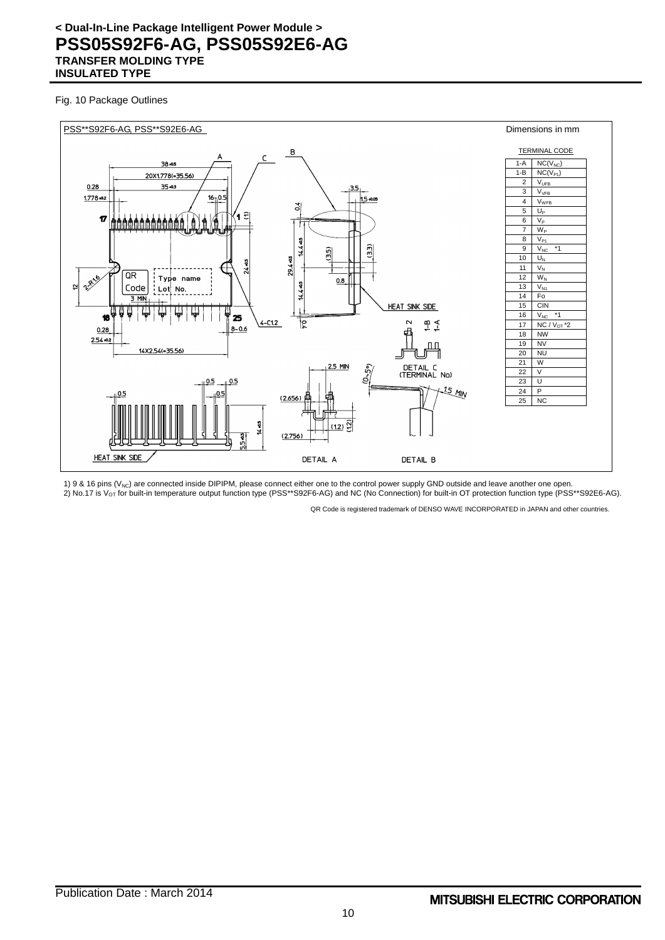#### Fig. 10 Package Outlines



1) 9 & 16 pins (V<sub>NC</sub>) are connected inside DIPIPM, please connect either one to the control power supply GND outside and leave another one open. 2) No.17 is V<sub>OT</sub> for built-in temperature output function type (PSS\*\*S92F6-AG) and NC (No Connection) for built-in OT protection function type (PSS\*\*S92E6-AG).

QR Code is registered trademark of DENSO WAVE INCORPORATED in JAPAN and other countries.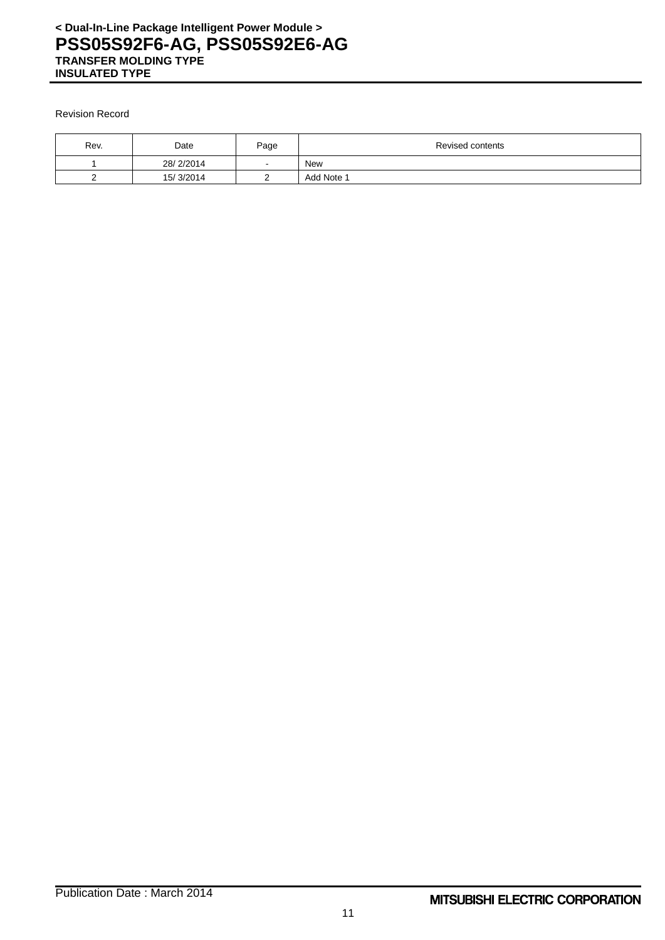#### Revision Record

| Rev. | Date      | Page | Revised contents |
|------|-----------|------|------------------|
|      | 28/2/2014 | . .  | <b>New</b>       |
|      | 15/3/2014 |      | Add Note 1       |